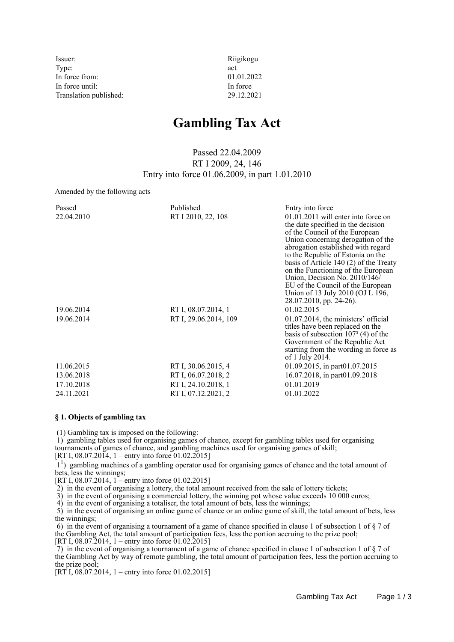Issuer: Riigikogu Type:  $\qquad \qquad \text{act}$ In force from: 01.01.2022 In force until: In force Translation published: 29.12.2021

# **Gambling Tax Act**

Passed 22.04.2009 RT I 2009, 24, 146 Entry into force 01.06.2009, in part 1.01.2010

Amended by the following acts

| Passed     | Published             | Entry into force                                                                                                                                                                                                                                                                                                                                                                                                        |
|------------|-----------------------|-------------------------------------------------------------------------------------------------------------------------------------------------------------------------------------------------------------------------------------------------------------------------------------------------------------------------------------------------------------------------------------------------------------------------|
| 22.04.2010 | RT I 2010, 22, 108    | 01.01.2011 will enter into force on<br>the date specified in the decision<br>of the Council of the European<br>Union concerning derogation of the<br>abrogation established with regard<br>to the Republic of Estonia on the<br>basis of Article $140(2)$ of the Treaty<br>on the Functioning of the European<br>Union, Decision No. 2010/146/<br>EU of the Council of the European<br>Union of 13 July 2010 (OJ L 196, |
|            |                       | 28.07.2010, pp. 24-26).                                                                                                                                                                                                                                                                                                                                                                                                 |
| 19.06.2014 | RT I, 08.07.2014, 1   | 01.02.2015                                                                                                                                                                                                                                                                                                                                                                                                              |
| 19.06.2014 | RT I, 29.06.2014, 109 | $01.07.2014$ , the ministers' official<br>titles have been replaced on the<br>basis of subsection $1073$ (4) of the<br>Government of the Republic Act<br>starting from the wording in force as<br>of 1 July 2014.                                                                                                                                                                                                       |
| 11.06.2015 | RT I, 30.06.2015, 4   | $01.09.2015$ , in part $01.07.2015$                                                                                                                                                                                                                                                                                                                                                                                     |
| 13.06.2018 | RT I, 06.07.2018, 2   | 16.07.2018, in part01.09.2018                                                                                                                                                                                                                                                                                                                                                                                           |
| 17.10.2018 | RT I, 24.10.2018, 1   | 01.01.2019                                                                                                                                                                                                                                                                                                                                                                                                              |
| 24.11.2021 | RT I, 07.12.2021, 2   | 01.01.2022                                                                                                                                                                                                                                                                                                                                                                                                              |

#### **§ 1. Objects of gambling tax**

(1) Gambling tax is imposed on the following:

 1) gambling tables used for organising games of chance, except for gambling tables used for organising tournaments of games of chance, and gambling machines used for organising games of skill;

[RT I,  $08.07.2014$ , 1 – entry into force  $01.02.2015$ ]

<sup>1</sup>) gambling machines of a gambling operator used for organising games of chance and the total amount of bets, less the winnings;

 $[RT\,I, 08.07.2014, 1 - entry into force 01.02.2015]$ 

2) in the event of organising a lottery, the total amount received from the sale of lottery tickets;

3) in the event of organising a commercial lottery, the winning pot whose value exceeds 10 000 euros;

4) in the event of organising a totaliser, the total amount of bets, less the winnings;

 5) in the event of organising an online game of chance or an online game of skill, the total amount of bets, less the winnings;

 6) in the event of organising a tournament of a game of chance specified in clause 1 of subsection 1 of § 7 of the Gambling Act, the total amount of participation fees, less the portion accruing to the prize pool;

[RT I, 08.07.2014, 1 – entry into force 01.02.2015]

 7) in the event of organising a tournament of a game of chance specified in clause 1 of subsection 1 of § 7 of the Gambling Act by way of remote gambling, the total amount of participation fees, less the portion accruing to the prize pool;

 $[RT<sup>†</sup> I, 08.07.2014, 1 - entry into force 01.02.2015]$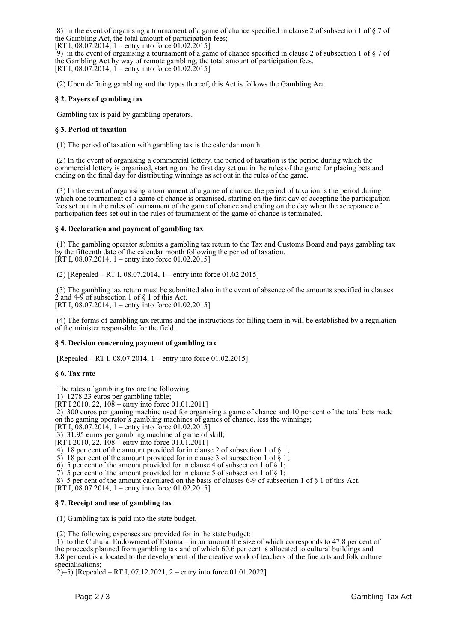8) in the event of organising a tournament of a game of chance specified in clause 2 of subsection 1 of § 7 of the Gambling Act, the total amount of participation fees;

[RT I, 08.07.2014, 1 – entry into force  $01.02.2015$ ] 9) in the event of organising a tournament of a game of chance specified in clause 2 of subsection 1 of  $\S 7$  of the Gambling Act by way of remote gambling, the total amount of participation fees. [RT I, 08.07.2014, 1 – entry into force 01.02.2015]

(2) Upon defining gambling and the types thereof, this Act is follows the Gambling Act.

### **§ 2. Payers of gambling tax**

Gambling tax is paid by gambling operators.

#### **§ 3. Period of taxation**

(1) The period of taxation with gambling tax is the calendar month.

 (2) In the event of organising a commercial lottery, the period of taxation is the period during which the commercial lottery is organised, starting on the first day set out in the rules of the game for placing bets and ending on the final day for distributing winnings as set out in the rules of the game.

 (3) In the event of organising a tournament of a game of chance, the period of taxation is the period during which one tournament of a game of chance is organised, starting on the first day of accepting the participation fees set out in the rules of tournament of the game of chance and ending on the day when the acceptance of participation fees set out in the rules of tournament of the game of chance is terminated.

#### **§ 4. Declaration and payment of gambling tax**

 (1) The gambling operator submits a gambling tax return to the Tax and Customs Board and pays gambling tax by the fifteenth date of the calendar month following the period of taxation. [RT I, 08.07.2014, 1 – entry into force 01.02.2015]

(2) [Repealed – RT I, 08.07.2014, 1 – entry into force 01.02.2015]

 (3) The gambling tax return must be submitted also in the event of absence of the amounts specified in clauses  $2$  and  $4-9$  of subsection 1 of  $\S$  1 of this Act. [RT I, 08.07.2014, 1 – entry into force 01.02.2015]

 (4) The forms of gambling tax returns and the instructions for filling them in will be established by a regulation of the minister responsible for the field.

#### **§ 5. Decision concerning payment of gambling tax**

[Repealed – RT I, 08.07.2014, 1 – entry into force 01.02.2015]

#### **§ 6. Tax rate**

The rates of gambling tax are the following:

1) 1278.23 euros per gambling table;

 $[\overline{RT} 1 2010, 22, 108 - \overline{entry} \text{ into force } 01.01.2011]$ 

 2) 300 euros per gaming machine used for organising a game of chance and 10 per cent of the total bets made on the gaming operator's gambling machines of games of chance, less the winnings;

[RT I,  $\overline{08.07.2014}$ , 1 – entry into force 01.02.2015]

3) 31.95 euros per gambling machine of game of skill;

 $[KT I 2010, 22, 108 - entry into force 01.01.2011]$ 

4) 18 per cent of the amount provided for in clause 2 of subsection 1 of  $\S$  1;

5) 18 per cent of the amount provided for in clause 3 of subsection 1 of § 1;

6) 5 per cent of the amount provided for in clause 4 of subsection 1 of  $\frac{8}{3}$ 1;

7) 5 per cent of the amount provided for in clause 5 of subsection 1 of  $\S 1$ ;

8) 5 per cent of the amount calculated on the basis of clauses 6-9 of subsection 1 of § 1 of this Act.

 $[\hat{RT} I, 08.07.2014, 1 -$  entry into force 01.02.2015]

#### **§ 7. Receipt and use of gambling tax**

(1) Gambling tax is paid into the state budget.

(2) The following expenses are provided for in the state budget:

 1) to the Cultural Endowment of Estonia – in an amount the size of which corresponds to 47.8 per cent of the proceeds planned from gambling tax and of which 60.6 per cent is allocated to cultural buildings and 3.8 per cent is allocated to the development of the creative work of teachers of the fine arts and folk culture specialisations;

 $(2)$ –5) [Repealed – RT I, 07.12.2021, 2 – entry into force 01.01.2022]